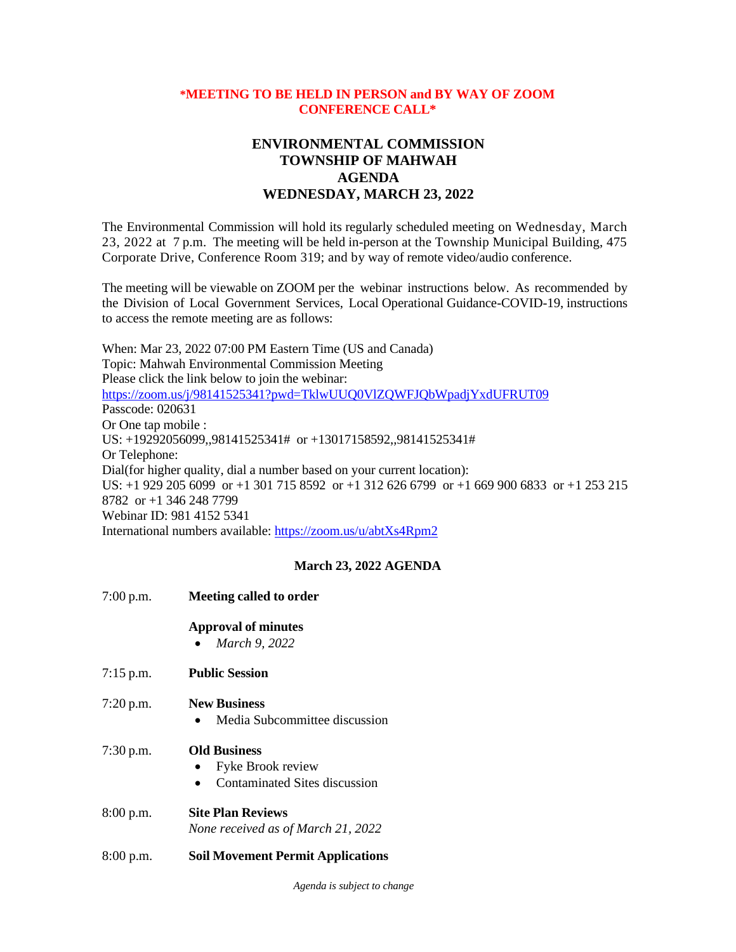#### **\*MEETING TO BE HELD IN PERSON and BY WAY OF ZOOM CONFERENCE CALL\***

# **ENVIRONMENTAL COMMISSION TOWNSHIP OF MAHWAH AGENDA WEDNESDAY, MARCH 23, 2022**

The Environmental Commission will hold its regularly scheduled meeting on Wednesday, March 23, 2022 at 7 p.m. The meeting will be held in-person at the Township Municipal Building, 475 Corporate Drive, Conference Room 319; and by way of remote video/audio conference.

The meeting will be viewable on ZOOM per the webinar instructions below. As recommended by the Division of Local Government Services, Local Operational Guidance-COVID-19, instructions to access the remote meeting are as follows:

When: Mar 23, 2022 07:00 PM Eastern Time (US and Canada) Topic: Mahwah Environmental Commission Meeting Please click the link below to join the webinar: <https://zoom.us/j/98141525341?pwd=TklwUUQ0VlZQWFJQbWpadjYxdUFRUT09> Passcode: 020631 Or One tap mobile : US: +19292056099,,98141525341# or +13017158592,,98141525341# Or Telephone: Dial(for higher quality, dial a number based on your current location): US: +1 929 205 6099 or +1 301 715 8592 or +1 312 626 6799 or +1 669 900 6833 or +1 253 215 8782 or +1 346 248 7799 Webinar ID: 981 4152 5341 International numbers available:<https://zoom.us/u/abtXs4Rpm2>

### **March 23, 2022 AGENDA**

| 7:00 p.m.   | <b>Meeting called to order</b>                                                         |
|-------------|----------------------------------------------------------------------------------------|
|             | <b>Approval of minutes</b><br>March 9, 2022                                            |
| $7:15$ p.m. | <b>Public Session</b>                                                                  |
| 7:20 p.m.   | <b>New Business</b><br>Media Subcommittee discussion                                   |
| 7:30 p.m.   | <b>Old Business</b><br>Fyke Brook review<br>Contaminated Sites discussion<br>$\bullet$ |
| 8:00 p.m.   | <b>Site Plan Reviews</b><br>None received as of March 21, 2022                         |
| 8:00 p.m.   | <b>Soil Movement Permit Applications</b>                                               |

*Agenda is subject to change*